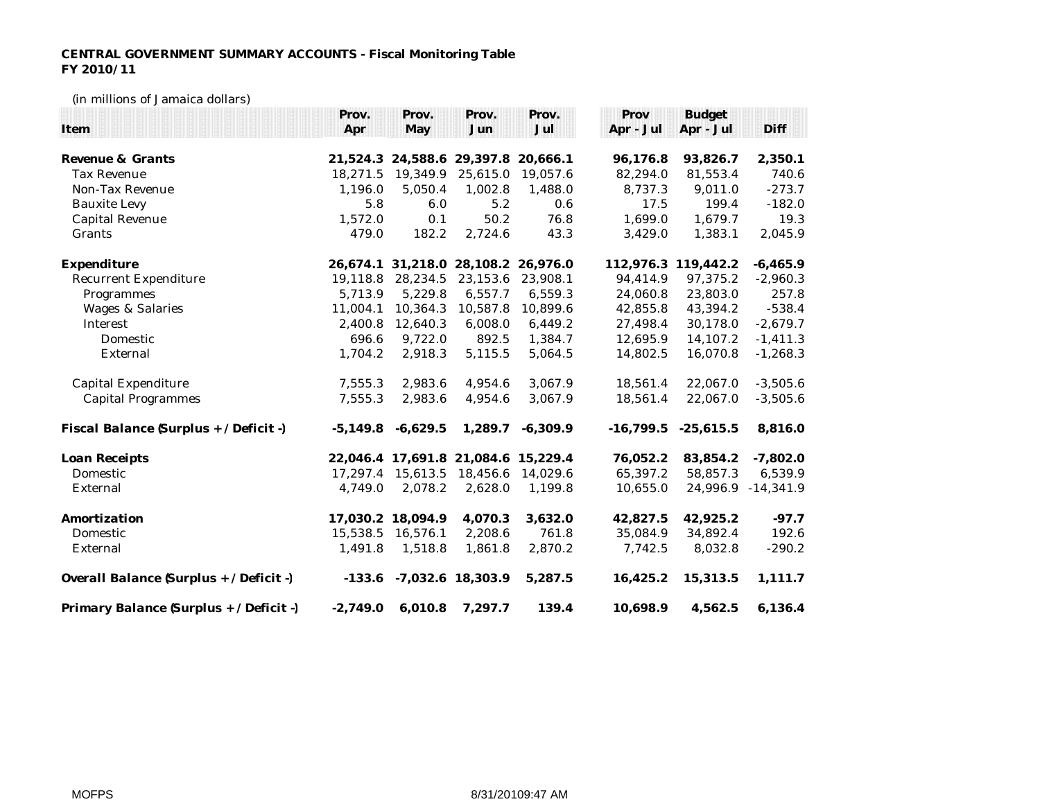## **CENTRAL GOVERNMENT SUMMARY ACCOUNTS - Fiscal Monitoring Table FY 2010/11**

## (in millions of Jamaica dollars)

|                                         | Prov.      | Prov.             | Prov.                               | Prov.      | Prov      | <b>Budget</b>           |             |
|-----------------------------------------|------------|-------------------|-------------------------------------|------------|-----------|-------------------------|-------------|
| Item                                    | Apr        | May               | Jun                                 | Jul        | Apr - Jul | Apr - Jul               | Diff        |
|                                         |            |                   |                                     |            |           |                         |             |
| Revenue & Grants                        |            |                   | 21,524.3 24,588.6 29,397.8 20,666.1 |            | 96,176.8  | 93,826.7                | 2,350.1     |
| <b>Tax Revenue</b>                      | 18,271.5   | 19,349.9          | 25,615.0                            | 19,057.6   | 82,294.0  | 81,553.4                | 740.6       |
| Non-Tax Revenue                         | 1,196.0    | 5,050.4           | 1,002.8                             | 1,488.0    | 8,737.3   | 9,011.0                 | $-273.7$    |
| <b>Bauxite Levy</b>                     | 5.8        | 6.0               | 5.2                                 | 0.6        | 17.5      | 199.4                   | $-182.0$    |
| Capital Revenue                         | 1,572.0    | 0.1               | 50.2                                | 76.8       | 1,699.0   | 1,679.7                 | 19.3        |
| Grants                                  | 479.0      | 182.2             | 2,724.6                             | 43.3       | 3,429.0   | 1,383.1                 | 2,045.9     |
| Expenditure                             |            |                   | 26,674.1 31,218.0 28,108.2 26,976.0 |            |           | 112,976.3 119,442.2     | $-6,465.9$  |
| Recurrent Expenditure                   | 19,118.8   | 28,234.5          | 23,153.6                            | 23,908.1   | 94,414.9  | 97,375.2                | $-2,960.3$  |
| Programmes                              | 5,713.9    | 5,229.8           | 6,557.7                             | 6,559.3    | 24,060.8  | 23,803.0                | 257.8       |
| <b>Wages &amp; Salaries</b>             | 11,004.1   | 10,364.3          | 10,587.8                            | 10,899.6   | 42,855.8  | 43,394.2                | $-538.4$    |
| Interest                                | 2,400.8    | 12,640.3          | 6,008.0                             | 6,449.2    | 27,498.4  | 30,178.0                | $-2,679.7$  |
| Domestic                                | 696.6      | 9,722.0           | 892.5                               | 1,384.7    | 12,695.9  | 14,107.2                | $-1,411.3$  |
| External                                | 1,704.2    | 2,918.3           | 5,115.5                             | 5,064.5    | 14,802.5  | 16,070.8                | $-1,268.3$  |
| Capital Expenditure                     | 7,555.3    | 2,983.6           | 4,954.6                             | 3,067.9    | 18,561.4  | 22,067.0                | $-3,505.6$  |
| <b>Capital Programmes</b>               | 7,555.3    | 2,983.6           | 4,954.6                             | 3,067.9    | 18,561.4  | 22,067.0                | $-3,505.6$  |
| Fiscal Balance (Surplus + / Deficit -)  | $-5,149.8$ | $-6,629.5$        | 1,289.7                             | $-6,309.9$ |           | $-16,799.5$ $-25,615.5$ | 8,816.0     |
| Loan Receipts                           |            |                   | 22,046.4 17,691.8 21,084.6 15,229.4 |            | 76,052.2  | 83,854.2                | $-7,802.0$  |
| Domestic                                |            | 17,297.4 15,613.5 | 18,456.6                            | 14,029.6   | 65,397.2  | 58,857.3                | 6,539.9     |
| External                                | 4,749.0    | 2,078.2           | 2,628.0                             | 1,199.8    | 10,655.0  | 24,996.9                | $-14,341.9$ |
| Amortization                            |            | 17,030.2 18,094.9 | 4,070.3                             | 3,632.0    | 42,827.5  | 42,925.2                | $-97.7$     |
| Domestic                                | 15,538.5   | 16,576.1          | 2,208.6                             | 761.8      | 35,084.9  | 34,892.4                | 192.6       |
| External                                | 1,491.8    | 1,518.8           | 1,861.8                             | 2,870.2    | 7,742.5   | 8,032.8                 | $-290.2$    |
| Overall Balance (Surplus + / Deficit -) |            |                   | $-133.6$ $-7.032.6$ 18,303.9        | 5,287.5    | 16,425.2  | 15,313.5                | 1,111.7     |
| Primary Balance (Surplus + / Deficit -) | $-2,749.0$ | 6,010.8           | 7,297.7                             | 139.4      | 10,698.9  | 4,562.5                 | 6,136.4     |